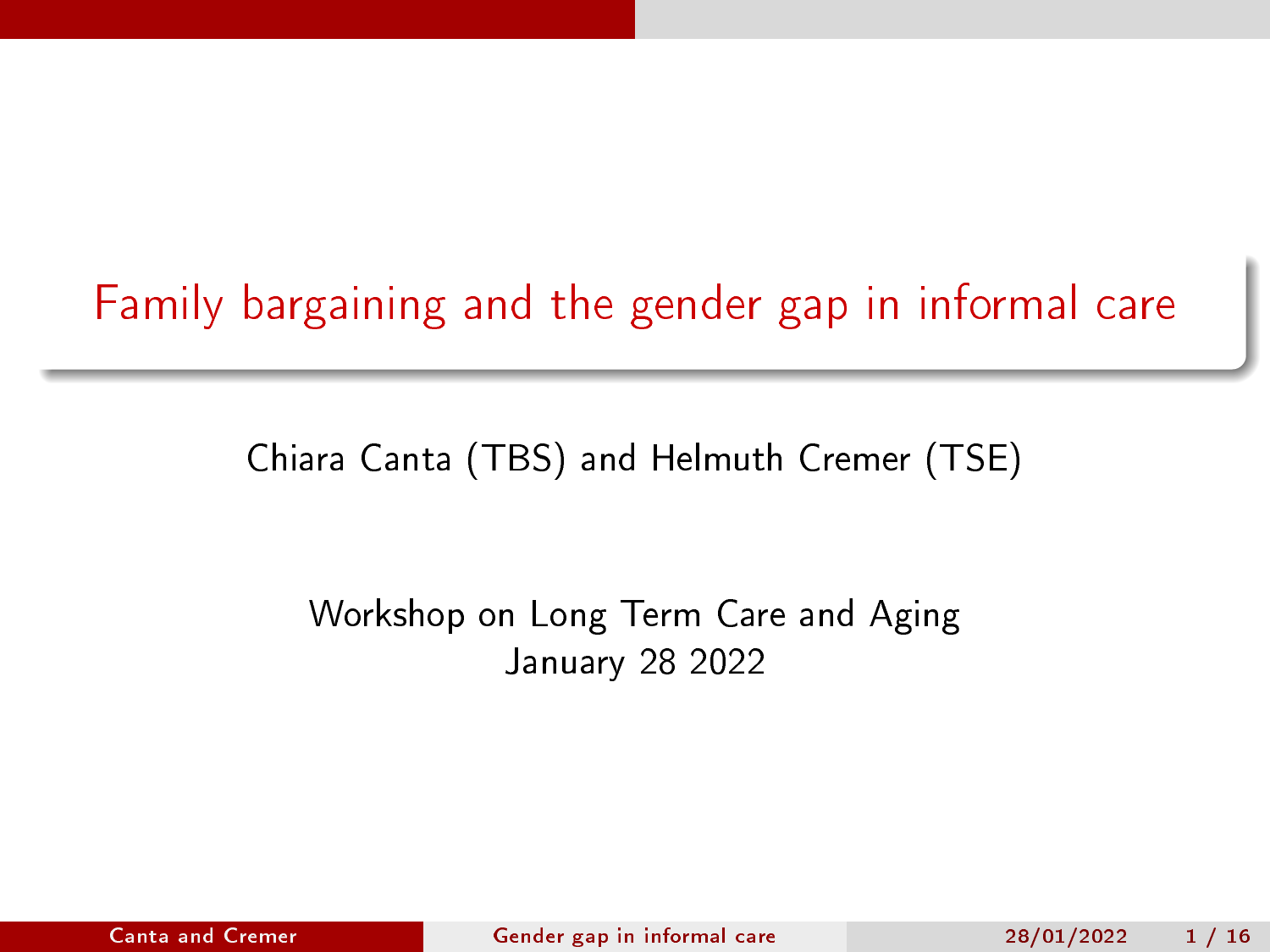# <span id="page-0-0"></span>Family bargaining and the gender gap in informal care

Chiara Canta (TBS) and Helmuth Cremer (TSE)

### Workshop on Long Term Care and Aging January 28 2022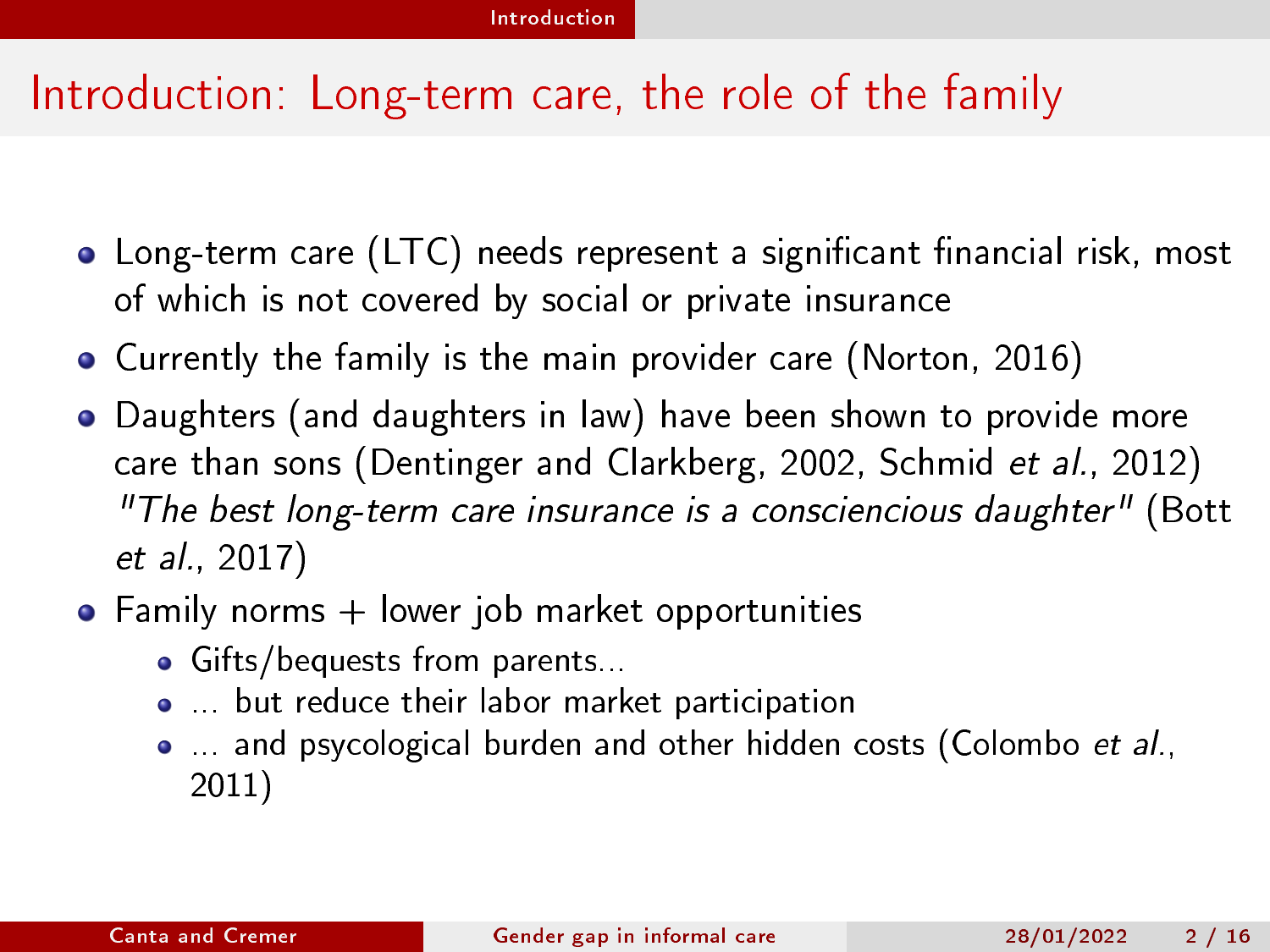# <span id="page-1-0"></span>Introduction: Long-term care, the role of the family

- $\bullet$  Long-term care (LTC) needs represent a significant financial risk, most of which is not covered by social or private insurance
- Currently the family is the main provider care (Norton, 2016)
- Daughters (and daughters in law) have been shown to provide more care than sons (Dentinger and Clarkberg, 2002, Schmid et al., 2012) "The best long-term care insurance is a consciencious daughter" (Bott et al., 2017)
- $\bullet$  Family norms  $+$  lower job market opportunities
	- Gifts/bequests from parents...
	- ... but reduce their labor market participation
	- ... and psycological burden and other hidden costs (Colombo et al., 2011)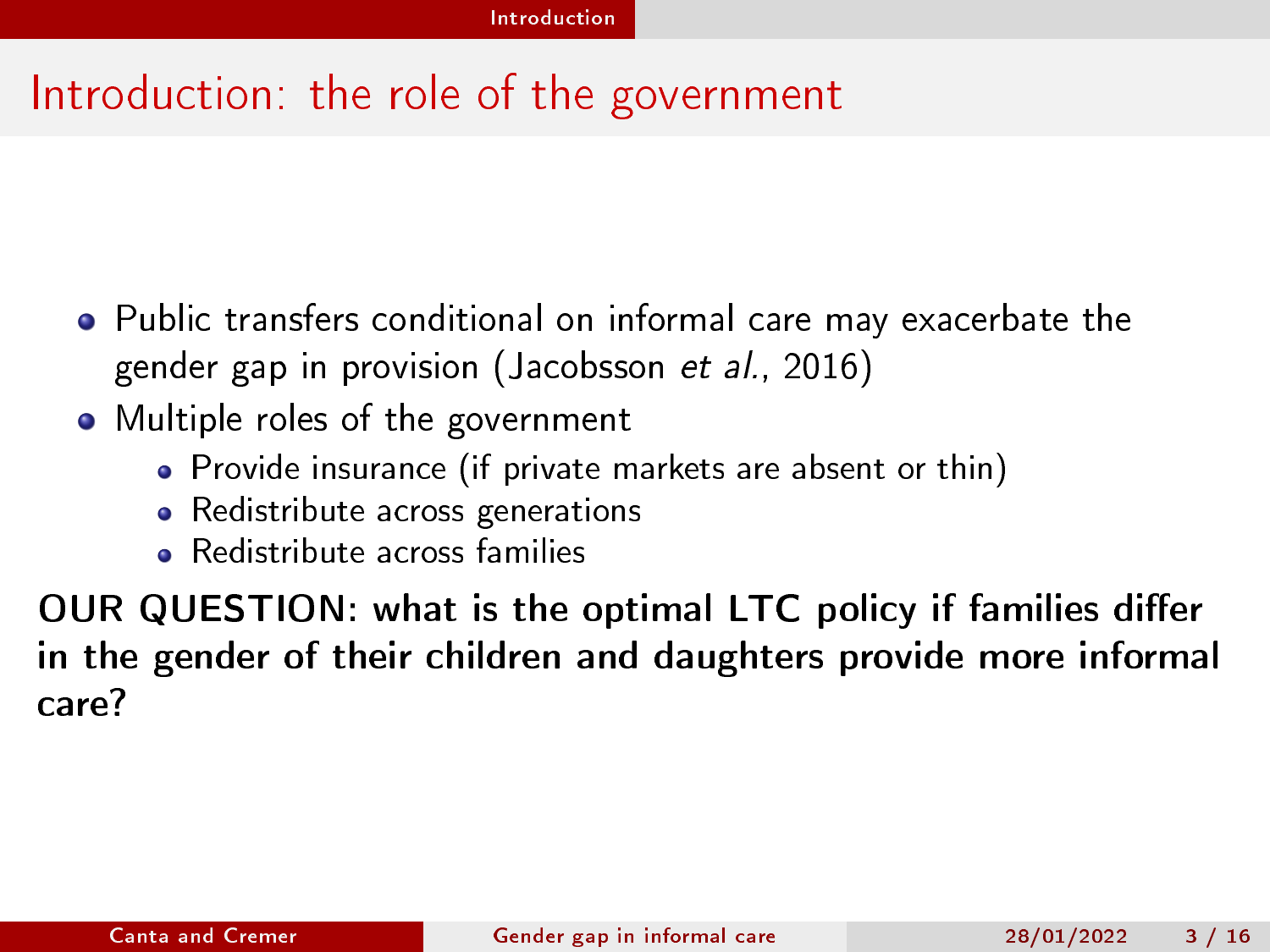# Introduction: the role of the government

- Public transfers conditional on informal care may exacerbate the gender gap in provision (Jacobsson et al., 2016)
- Multiple roles of the government
	- Provide insurance (if private markets are absent or thin)
	- Redistribute across generations
	- Redistribute across families

OUR QUESTION: what is the optimal LTC policy if families differ in the gender of their children and daughters provide more informal care?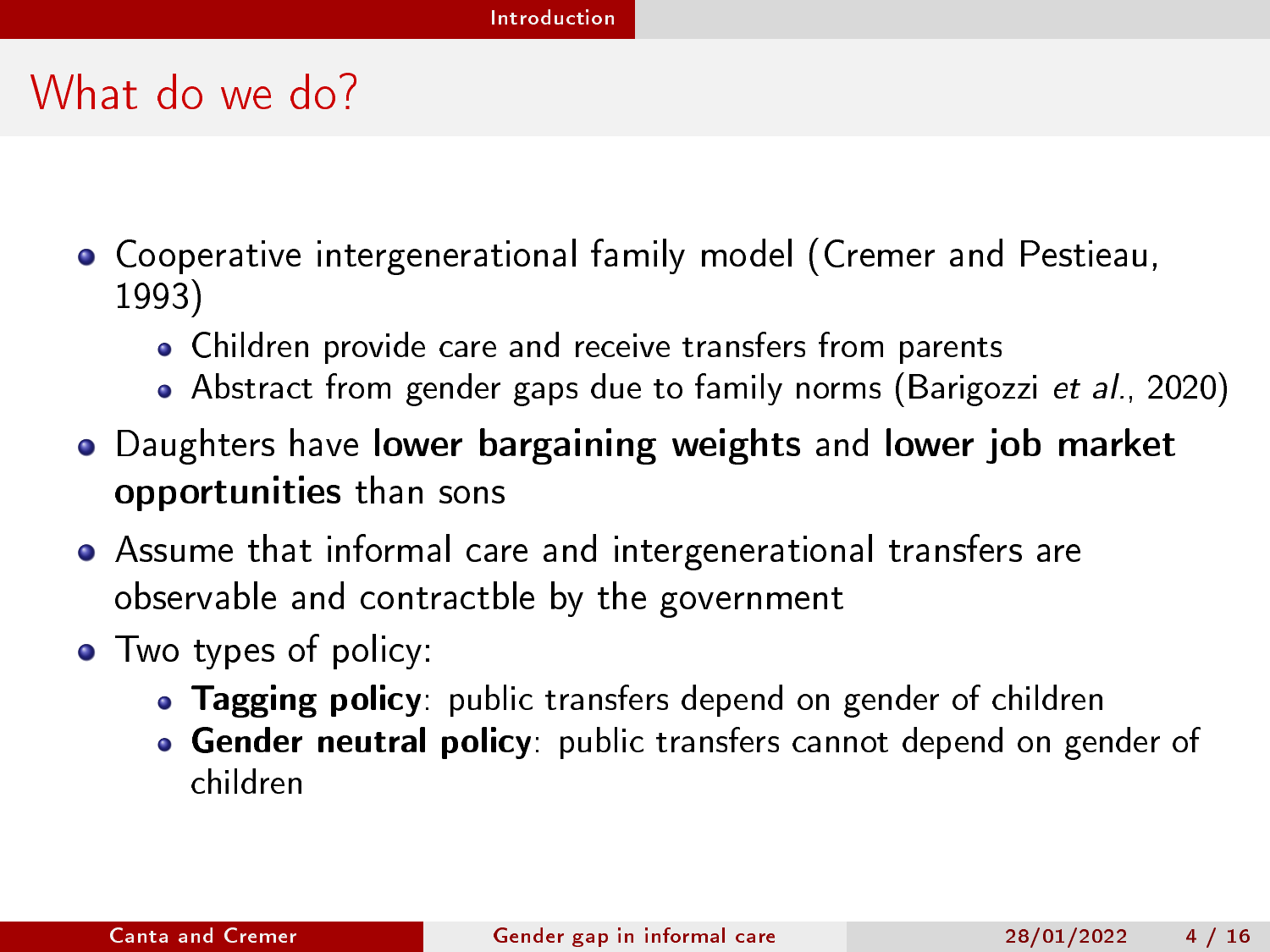# What do we do?

- Cooperative intergenerational family model (Cremer and Pestieau, 1993)
	- Children provide care and receive transfers from parents
	- Abstract from gender gaps due to family norms (Barigozzi et al., 2020)
- Daughters have lower bargaining weights and lower job market opportunities than sons
- Assume that informal care and intergenerational transfers are observable and contractble by the government
- Two types of policy:
	- Tagging policy: public transfers depend on gender of children
	- **Gender neutral policy:** public transfers cannot depend on gender of children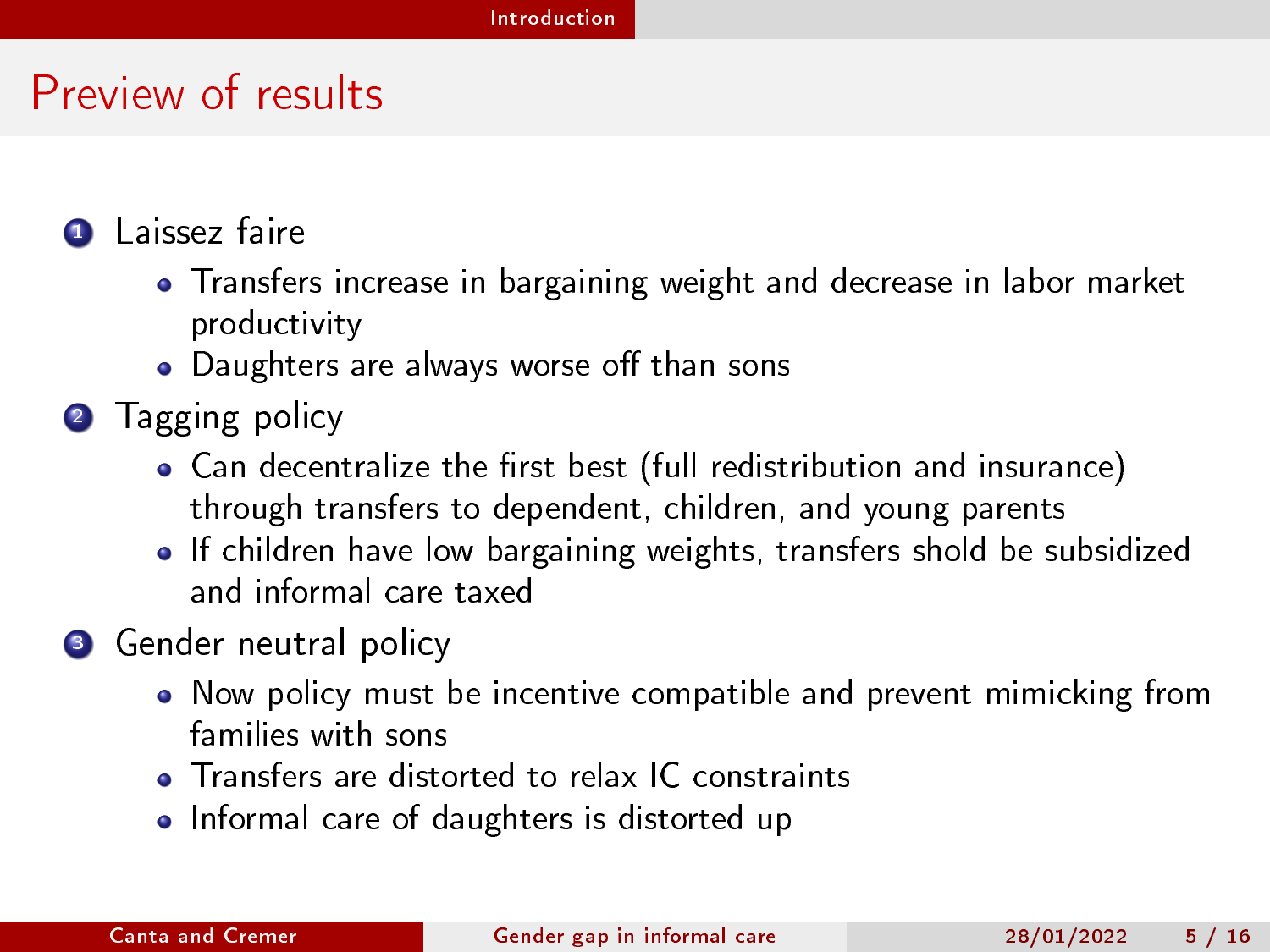# Preview of results

- **1** Laissez faire
	- Transfers increase in bargaining weight and decrease in labor market productivity
	- $\bullet$  Daughters are always worse off than sons
- **2** Tagging policy
	- $\bullet$  Can decentralize the first best (full redistribution and insurance) through transfers to dependent, children, and young parents
	- If children have low bargaining weights, transfers shold be subsidized and informal care taxed
- **3** Gender neutral policy
	- Now policy must be incentive compatible and prevent mimicking from families with sons
	- **o** Transfers are distorted to relax IC constraints
	- Informal care of daughters is distorted up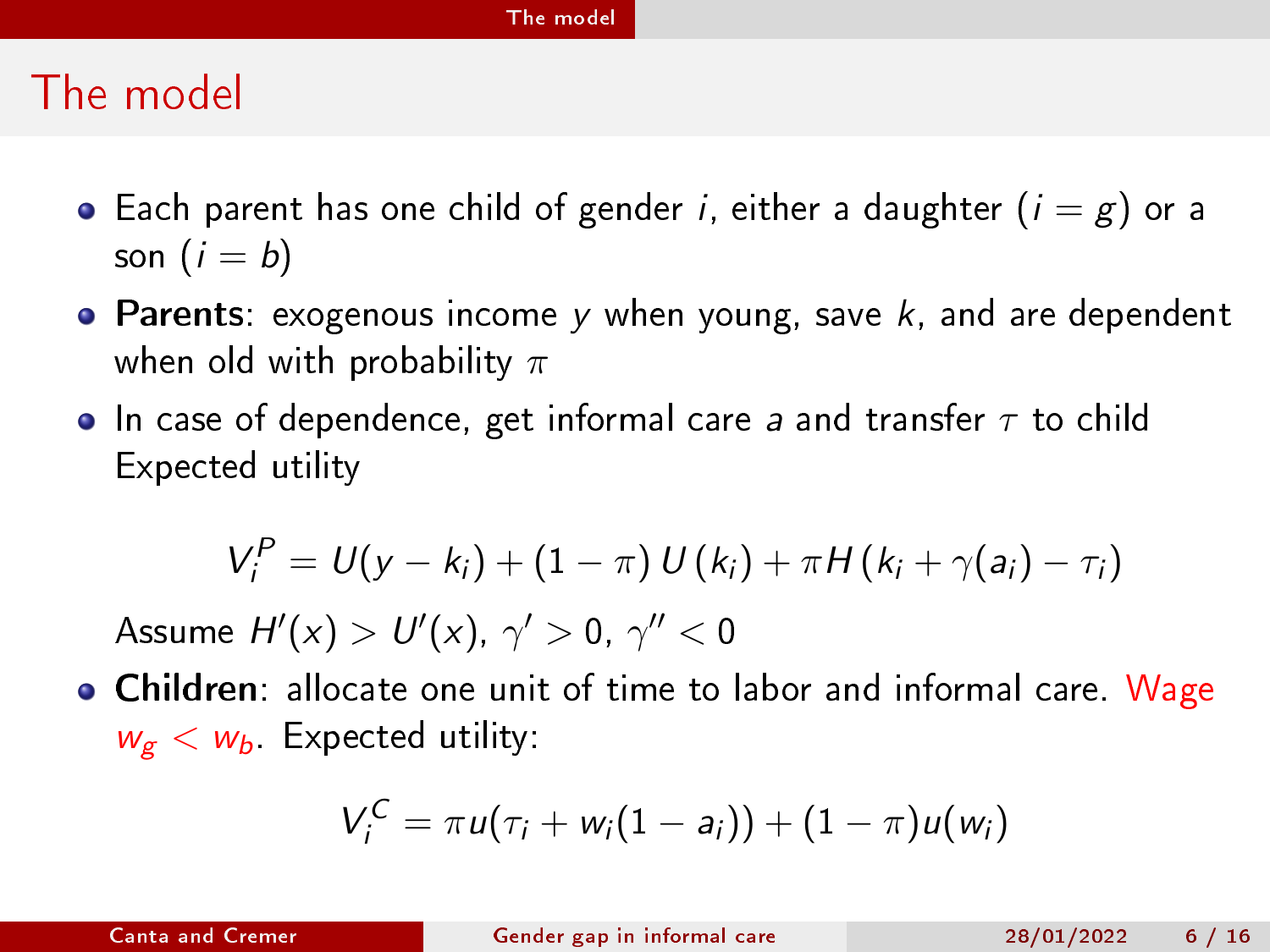## <span id="page-5-0"></span>The model

- Each parent has one child of gender *i*, either a daughter  $(i = g)$  or a son  $(i = b)$
- **Parents:** exogenous income y when young, save  $k$ , and are dependent when old with probability  $\pi$
- In case of dependence, get informal care a and transfer  $\tau$  to child Expected utility

$$
V_i^P = U(y - k_i) + (1 - \pi) U(k_i) + \pi H(k_i + \gamma(a_i) - \tau_i)
$$

Assume  $H'(x) > U'(x)$ ,  $\gamma' > 0$ ,  $\gamma'' < 0$ 

Children: allocate one unit of time to labor and informal care. Wage  $w_{\rm g} < w_{\rm b}$  Expected utility:

$$
V_i^C = \pi u(\tau_i + w_i(1-a_i)) + (1-\pi)u(w_i)
$$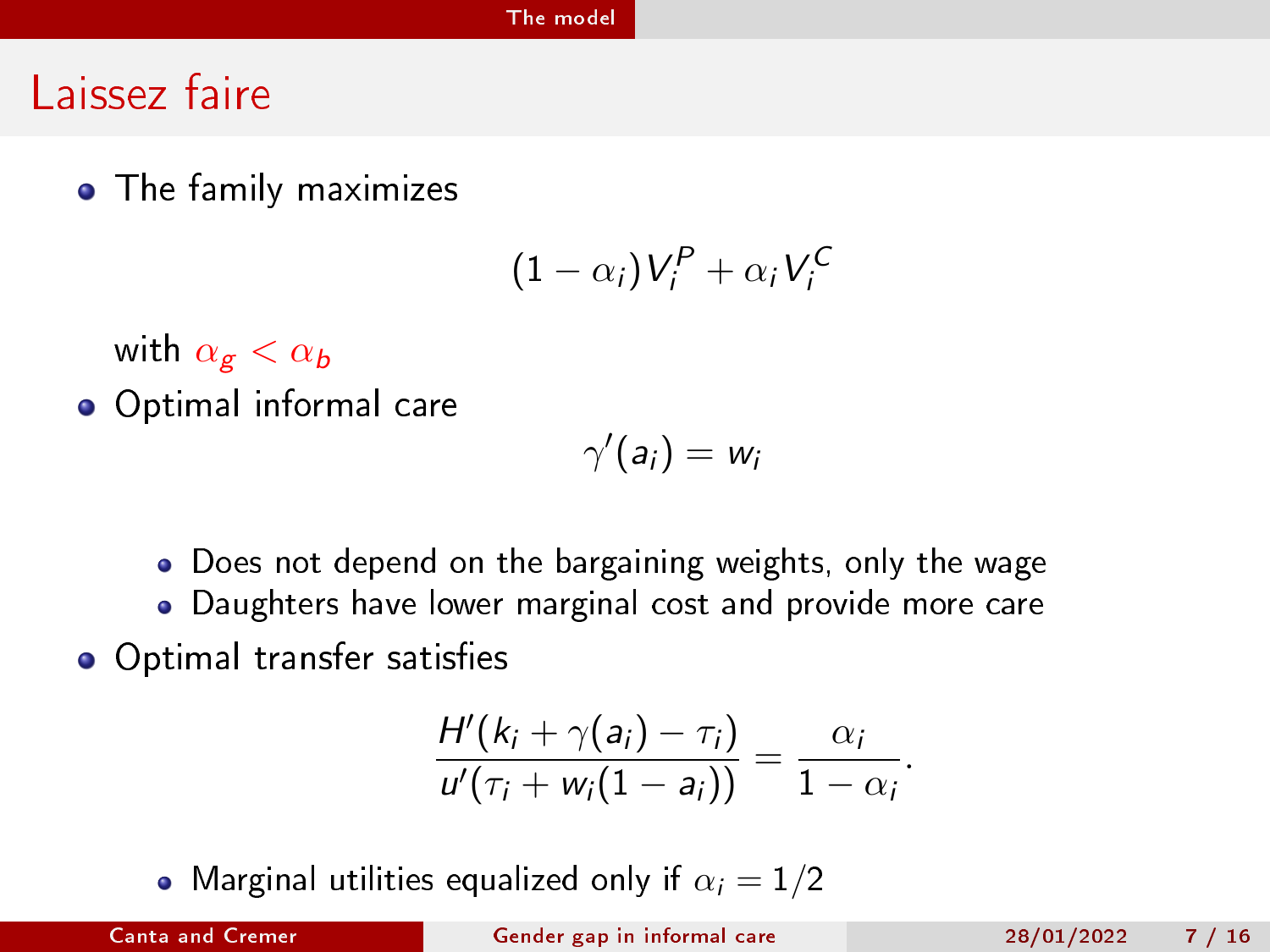#### [The model](#page-5-0)

## Laissez faire

The family maximizes

$$
(1-\alpha_i)V_i^P+\alpha_iV_i^C
$$

with  $\alpha_{g} < \alpha_{b}$ 

Optimal informal care

$$
\gamma'(a_i)=w_i
$$

- Does not depend on the bargaining weights, only the wage
- Daughters have lower marginal cost and provide more care
- Optimal transfer satisfies

$$
\frac{H'(k_i+\gamma(a_i)-\tau_i)}{u'(\tau_i+w_i(1-a_i))}=\frac{\alpha_i}{1-\alpha_i}.
$$

• Marginal utilities equalized only if  $\alpha_i = 1/2$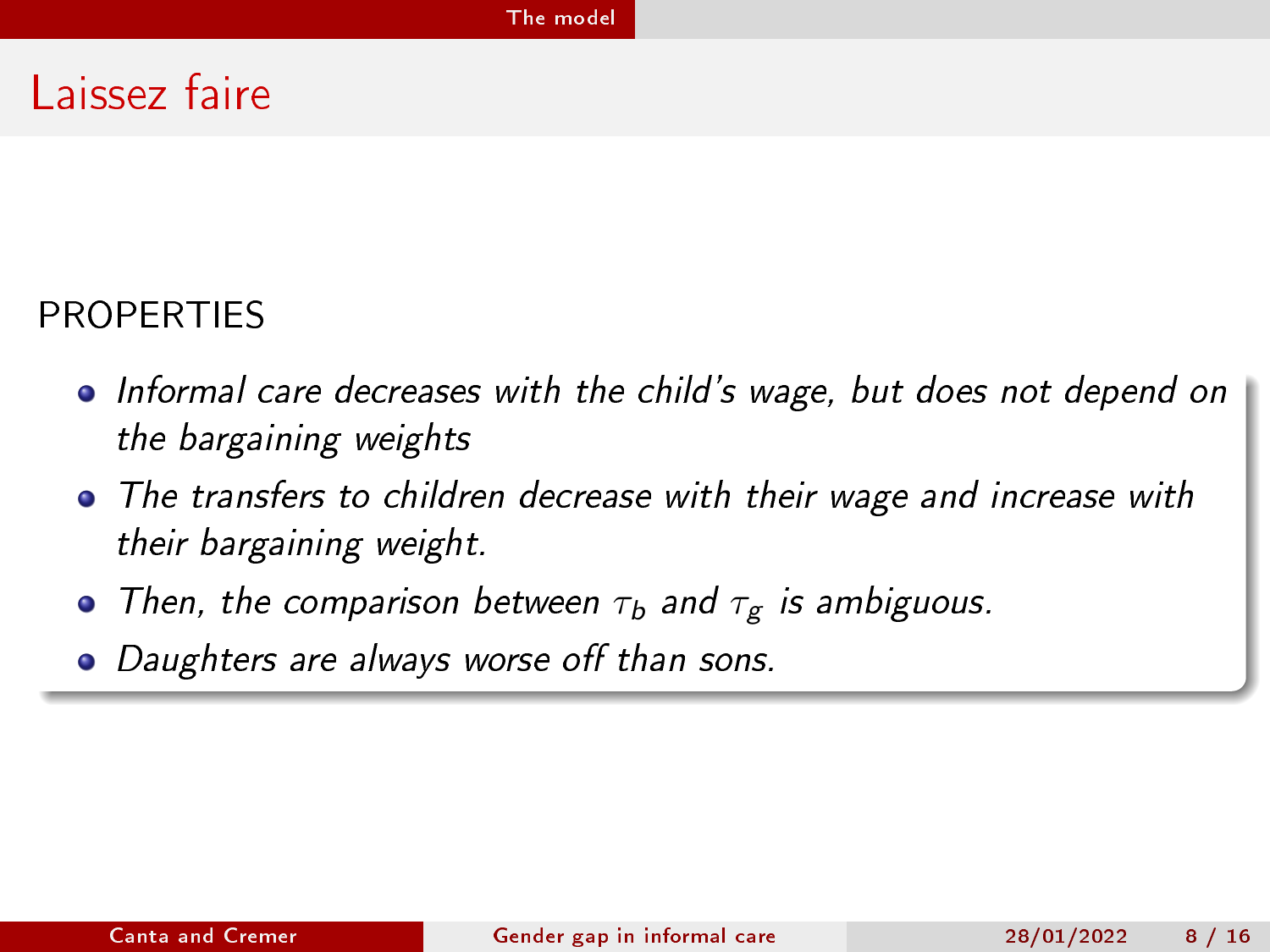## Laissez faire

### PROPERTIES

- Informal care decreases with the child's wage, but does not depend on the bargaining weights
- The transfers to children decrease with their wage and increase with their bargaining weight.
- Then, the comparison between  $\tau_b$  and  $\tau_g$  is ambiguous.
- Daughters are always worse off than sons.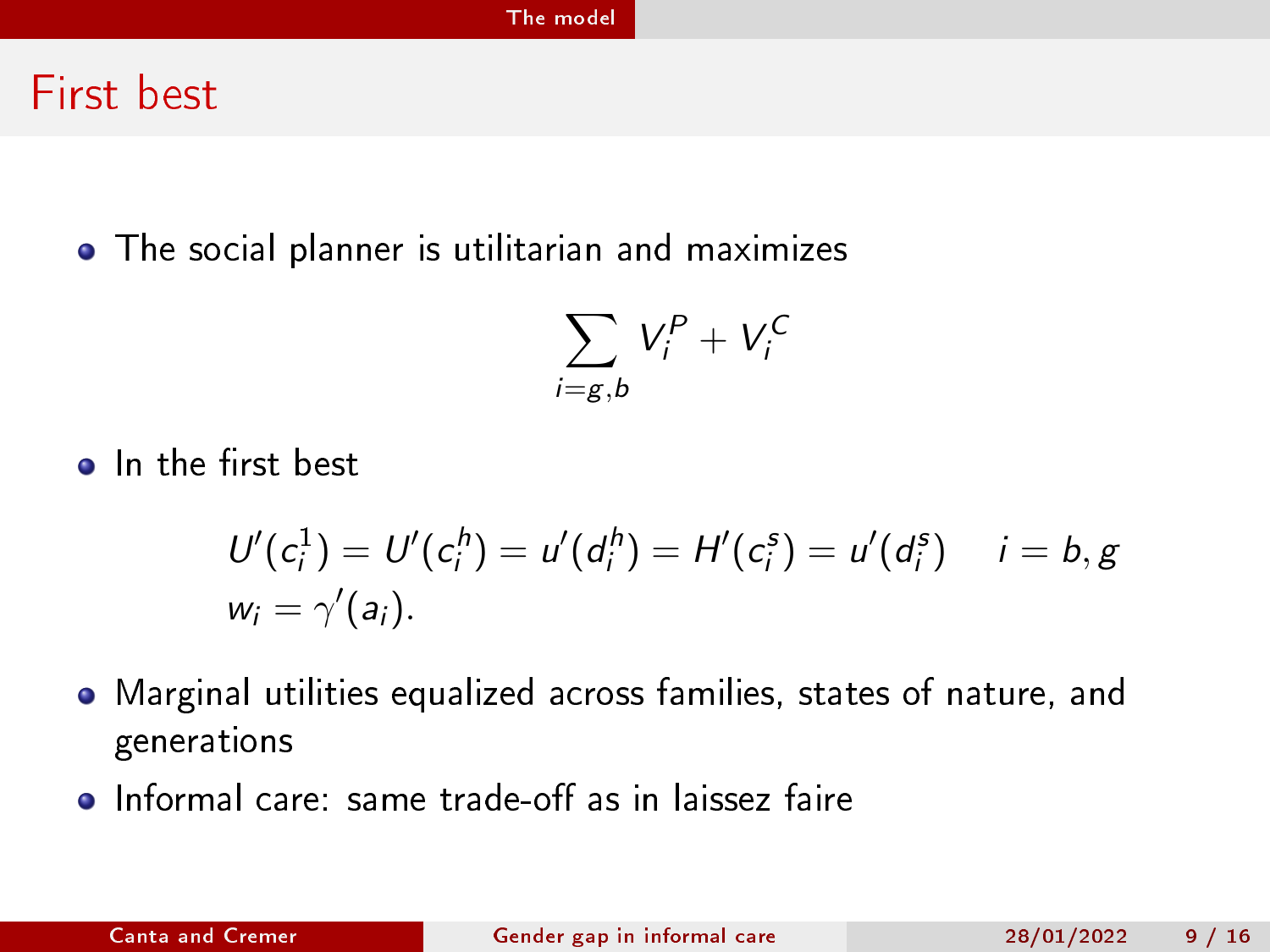### First best

The social planner is utilitarian and maximizes

$$
\sum_{i=g,b} V_i^P + V_i^C
$$

• In the first best

$$
U'(c_i^1) = U'(c_i^h) = u'(d_i^h) = H'(c_i^s) = u'(d_i^s) \quad i = b, g
$$
  

$$
w_i = \gamma'(a_i).
$$

- Marginal utilities equalized across families, states of nature, and generations
- $\bullet$  Informal care: same trade-off as in laissez faire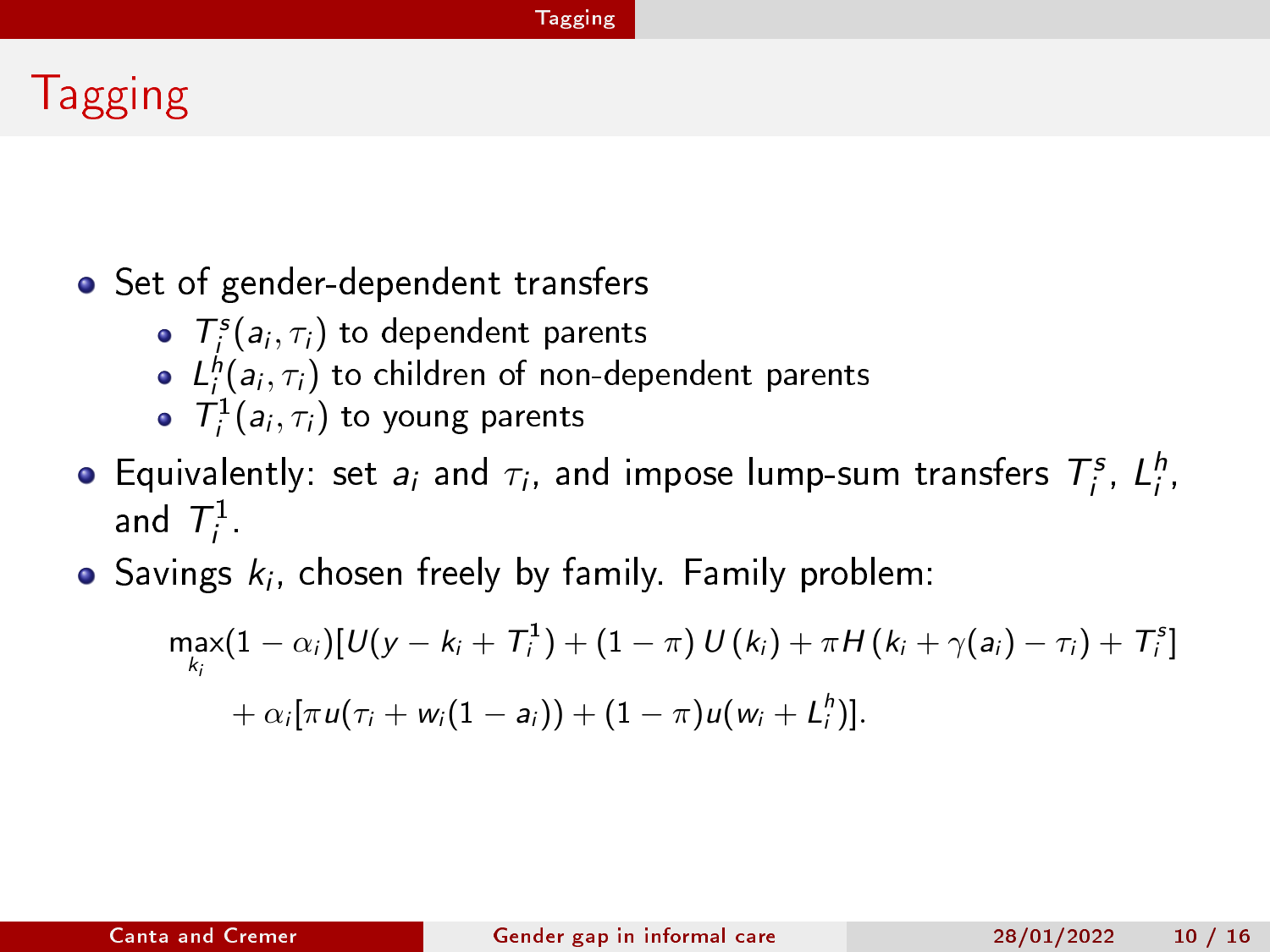#### [Tagging](#page-9-0)

# <span id="page-9-0"></span>Tagging

### • Set of gender-dependent transfers

- $T_j^s(a_i,\tau_i)$  to dependent parents
- $L_j^h(a_i,\tau_i)$  to children of non-dependent parents
- $\mathcal{T}_i^1(a_i, \tau_i)$  to young parents
- Equivalently: set  $a_i$  and  $\tau_i$ , and impose lump-sum transfers  $T_i^s$ ,  $L_i^h$ , and  $\mathcal{T}_i^1$  $\frac{1}{i}$
- Savings  $k_i$ , chosen freely by family. Family problem:

$$
\max_{k_i} (1 - \alpha_i) [U(y - k_i + T_i^1) + (1 - \pi) U(k_i) + \pi H(k_i + \gamma(a_i) - \tau_i) + T_i^s] \\ + \alpha_i [\pi u(\tau_i + w_i(1 - a_i)) + (1 - \pi) u(w_i + L_i^h)].
$$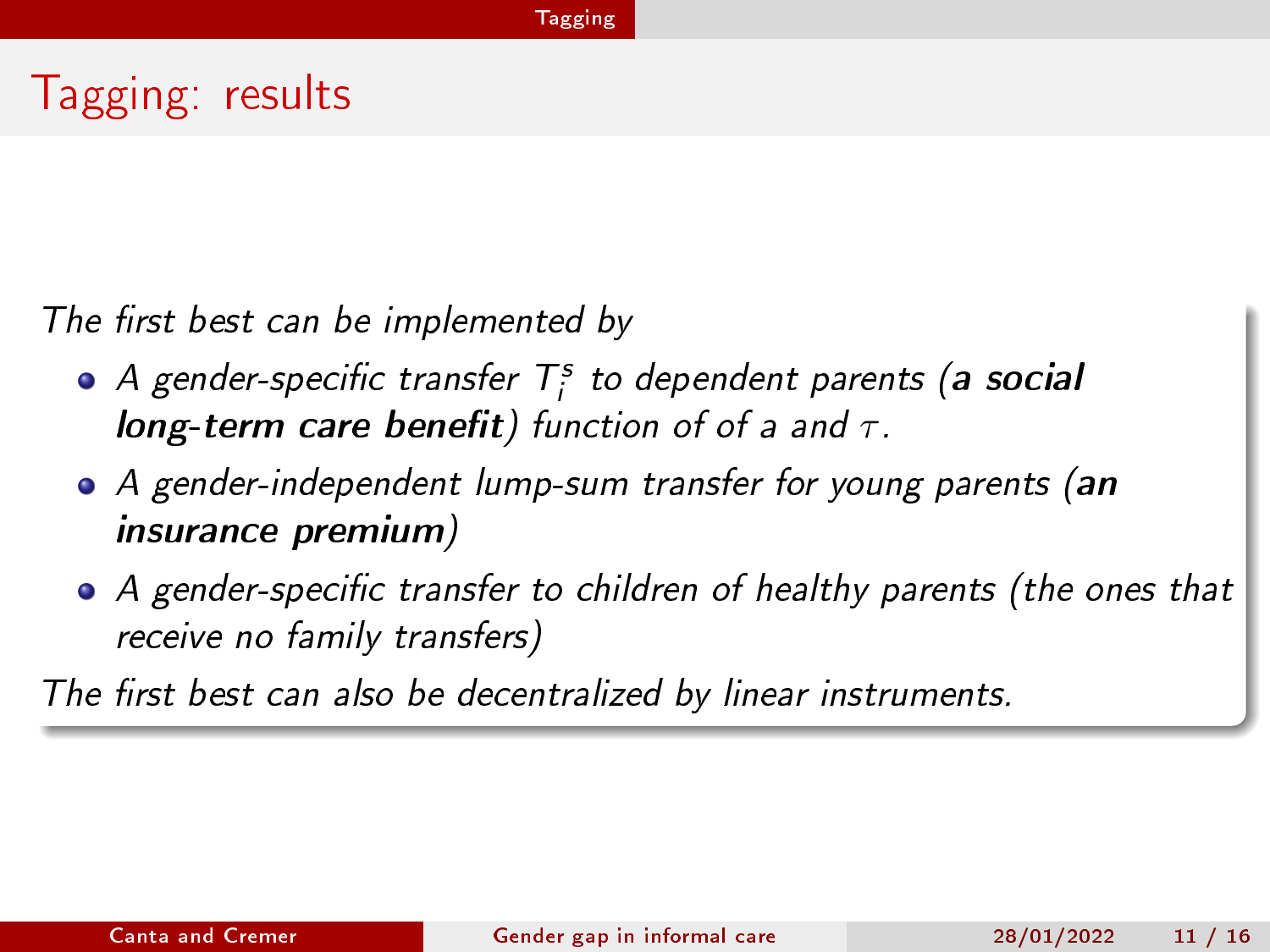# Tagging: results

The first best can be implemented by

- A gender-specific transfer  $\mathcal{T}^s_i$  to dependent parents (<mark>a social</mark> long-term care benefit) function of of a and  $\tau$ .
- A gender-independent lump-sum transfer for young parents (an insurance premium)
- $\bullet$  A gender-specific transfer to children of healthy parents (the ones that receive no family transfers)

The first best can also be decentralized by linear instruments.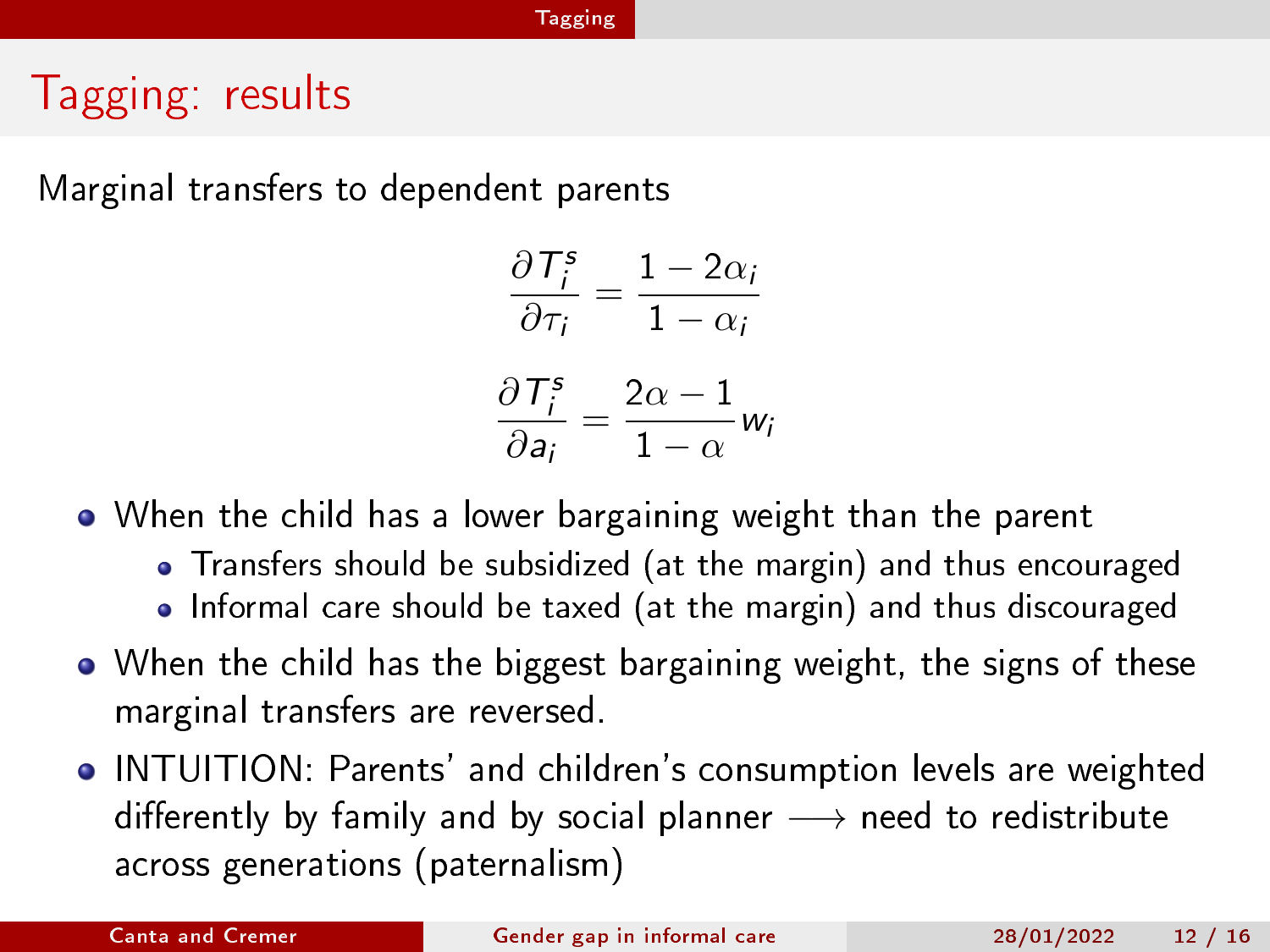#### [Tagging](#page-9-0)

# Tagging: results

Marginal transfers to dependent parents

$$
\frac{\partial T_i^s}{\partial \tau_i} = \frac{1 - 2\alpha_i}{1 - \alpha_i}
$$

$$
\frac{\partial T_i^s}{\partial a_i} = \frac{2\alpha - 1}{1 - \alpha} w_i
$$

When the child has a lower bargaining weight than the parent

- Transfers should be subsidized (at the margin) and thus encouraged
- Informal care should be taxed (at the margin) and thus discouraged
- When the child has the biggest bargaining weight, the signs of these marginal transfers are reversed.
- INTUITION: Parents' and children's consumption levels are weighted differently by family and by social planner  $\longrightarrow$  need to redistribute across generations (paternalism)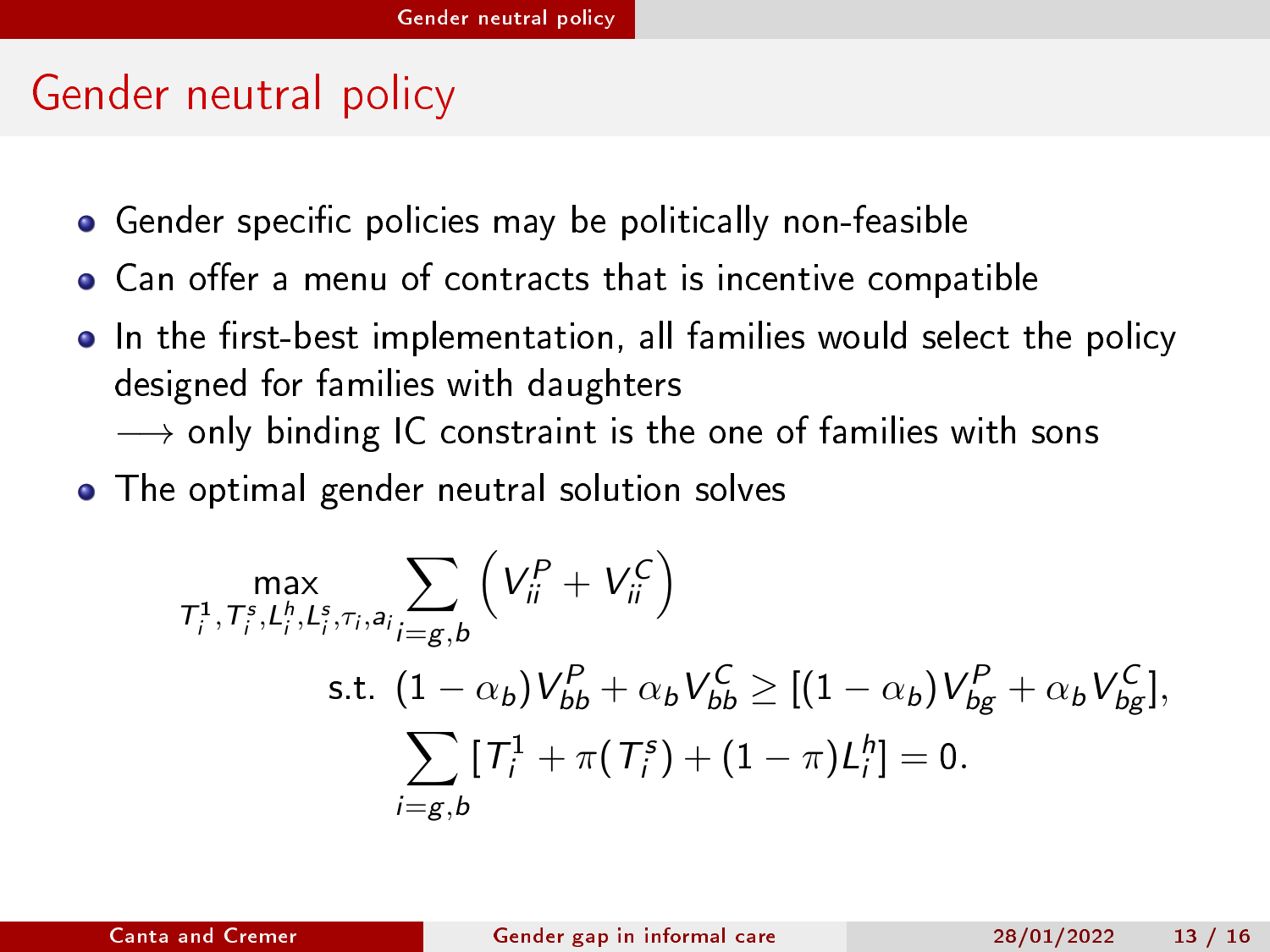# <span id="page-12-0"></span>Gender neutral policy

- Gender specific policies may be politically non-feasible
- Can offer a menu of contracts that is incentive compatible
- In the first-best implementation, all families would select the policy designed for families with daughters
	- $\rightarrow$  only binding IC constraint is the one of families with sons
- **•** The optimal gender neutral solution solves

$$
\max_{\substack{\mathcal{T}_i^1, \mathcal{T}_i^s, L_i^h, L_i^s, \tau_i, a_i} \sum_{i=g,b} \left( V_{ii}^P + V_{ii}^C \right)}
$$
\ns.t. 
$$
(1 - \alpha_b) V_{bb}^P + \alpha_b V_{bb}^C \ge [(1 - \alpha_b) V_{bg}^P + \alpha_b V_{bg}^C],
$$
\n
$$
\sum_{i=g,b} [T_i^1 + \pi(T_i^s) + (1 - \pi) L_i^h] = 0.
$$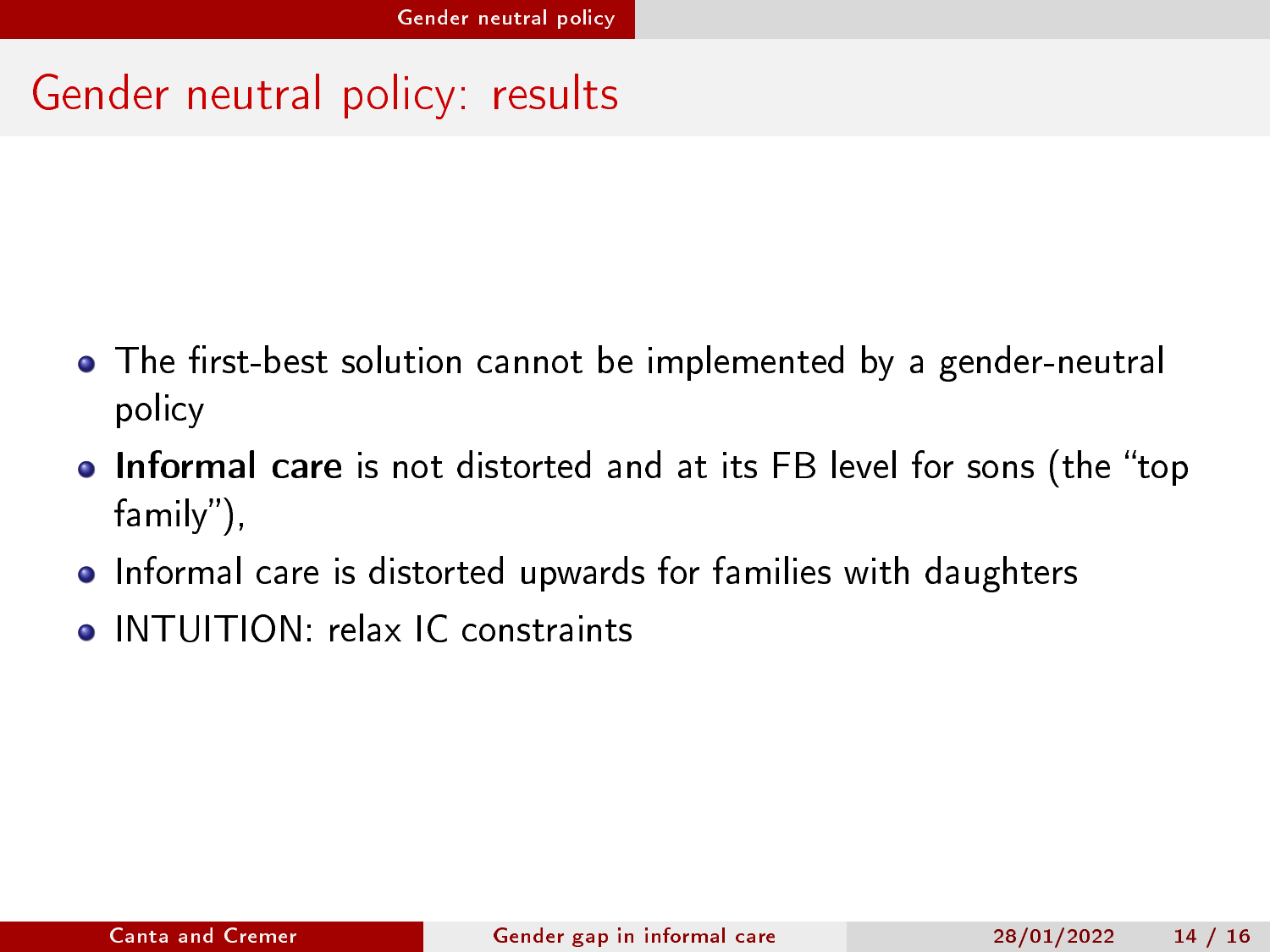# Gender neutral policy: results

- $\bullet$  The first-best solution cannot be implemented by a gender-neutral policy
- Informal care is not distorted and at its FB level for sons (the "top family"),
- Informal care is distorted upwards for families with daughters
- **O** INTUITION: relax IC constraints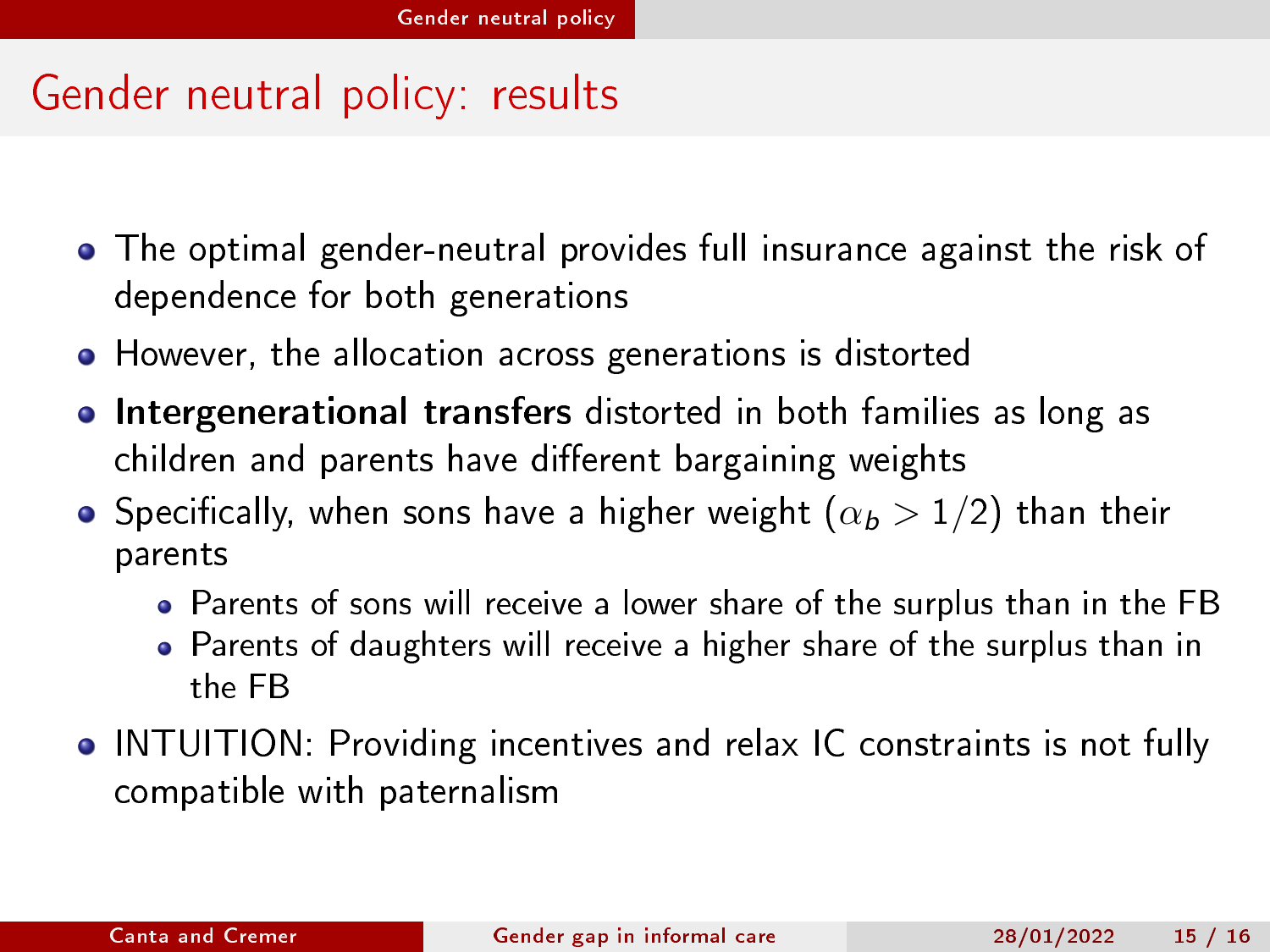# Gender neutral policy: results

- The optimal gender-neutral provides full insurance against the risk of dependence for both generations
- However, the allocation across generations is distorted
- **.** Intergenerational transfers distorted in both families as long as children and parents have different bargaining weights
- **•** Specifically, when sons have a higher weight  $(\alpha_b > 1/2)$  than their parents
	- Parents of sons will receive a lower share of the surplus than in the FB
	- Parents of daughters will receive a higher share of the surplus than in the FB
- INTUITION: Providing incentives and relax IC constraints is not fully compatible with paternalism